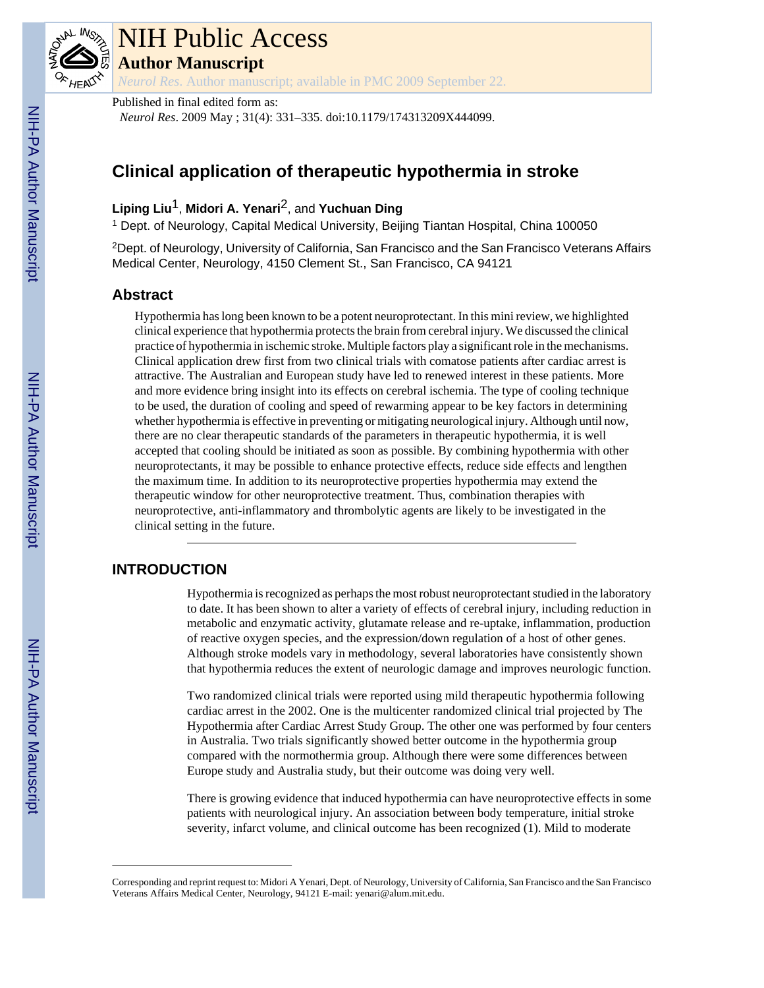

# NIH Public Access

**Author Manuscript**

*Neurol Res*. Author manuscript; available in PMC 2009 September 22.

Published in final edited form as:

*Neurol Res*. 2009 May ; 31(4): 331–335. doi:10.1179/174313209X444099.

## **Clinical application of therapeutic hypothermia in stroke**

## **Liping Liu**1, **Midori A. Yenari**2, and **Yuchuan Ding**

<sup>1</sup> Dept. of Neurology, Capital Medical University, Beijing Tiantan Hospital, China 100050

<sup>2</sup>Dept. of Neurology, University of California, San Francisco and the San Francisco Veterans Affairs Medical Center, Neurology, 4150 Clement St., San Francisco, CA 94121

## **Abstract**

Hypothermia has long been known to be a potent neuroprotectant. In this mini review, we highlighted clinical experience that hypothermia protects the brain from cerebral injury. We discussed the clinical practice of hypothermia in ischemic stroke. Multiple factors play a significant role in the mechanisms. Clinical application drew first from two clinical trials with comatose patients after cardiac arrest is attractive. The Australian and European study have led to renewed interest in these patients. More and more evidence bring insight into its effects on cerebral ischemia. The type of cooling technique to be used, the duration of cooling and speed of rewarming appear to be key factors in determining whether hypothermia is effective in preventing or mitigating neurological injury. Although until now, there are no clear therapeutic standards of the parameters in therapeutic hypothermia, it is well accepted that cooling should be initiated as soon as possible. By combining hypothermia with other neuroprotectants, it may be possible to enhance protective effects, reduce side effects and lengthen the maximum time. In addition to its neuroprotective properties hypothermia may extend the therapeutic window for other neuroprotective treatment. Thus, combination therapies with neuroprotective, anti-inflammatory and thrombolytic agents are likely to be investigated in the clinical setting in the future.

## **INTRODUCTION**

Hypothermia is recognized as perhaps the most robust neuroprotectant studied in the laboratory to date. It has been shown to alter a variety of effects of cerebral injury, including reduction in metabolic and enzymatic activity, glutamate release and re-uptake, inflammation, production of reactive oxygen species, and the expression/down regulation of a host of other genes. Although stroke models vary in methodology, several laboratories have consistently shown that hypothermia reduces the extent of neurologic damage and improves neurologic function.

Two randomized clinical trials were reported using mild therapeutic hypothermia following cardiac arrest in the 2002. One is the multicenter randomized clinical trial projected by The Hypothermia after Cardiac Arrest Study Group. The other one was performed by four centers in Australia. Two trials significantly showed better outcome in the hypothermia group compared with the normothermia group. Although there were some differences between Europe study and Australia study, but their outcome was doing very well.

There is growing evidence that induced hypothermia can have neuroprotective effects in some patients with neurological injury. An association between body temperature, initial stroke severity, infarct volume, and clinical outcome has been recognized (1). Mild to moderate

Corresponding and reprint request to: Midori A Yenari, Dept. of Neurology, University of California, San Francisco and the San Francisco Veterans Affairs Medical Center, Neurology, 94121 E-mail: yenari@alum.mit.edu.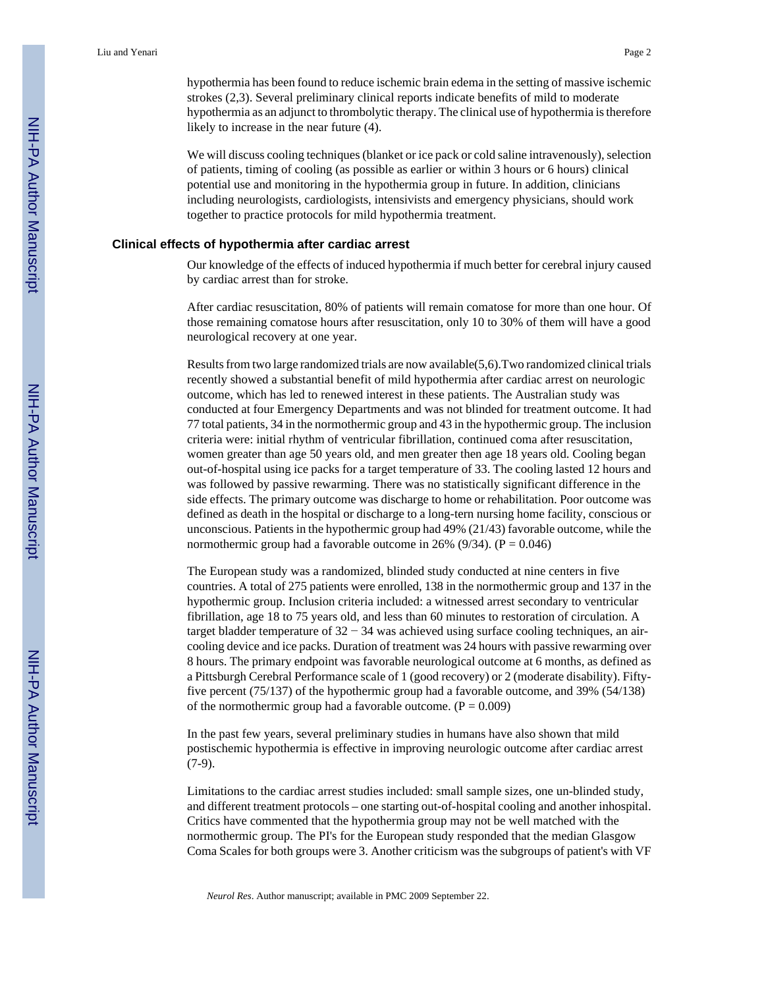We will discuss cooling techniques (blanket or ice pack or cold saline intravenously), selection of patients, timing of cooling (as possible as earlier or within 3 hours or 6 hours) clinical potential use and monitoring in the hypothermia group in future. In addition, clinicians including neurologists, cardiologists, intensivists and emergency physicians, should work together to practice protocols for mild hypothermia treatment.

#### **Clinical effects of hypothermia after cardiac arrest**

Our knowledge of the effects of induced hypothermia if much better for cerebral injury caused by cardiac arrest than for stroke.

After cardiac resuscitation, 80% of patients will remain comatose for more than one hour. Of those remaining comatose hours after resuscitation, only 10 to 30% of them will have a good neurological recovery at one year.

Results from two large randomized trials are now available(5,6).Two randomized clinical trials recently showed a substantial benefit of mild hypothermia after cardiac arrest on neurologic outcome, which has led to renewed interest in these patients. The Australian study was conducted at four Emergency Departments and was not blinded for treatment outcome. It had 77 total patients, 34 in the normothermic group and 43 in the hypothermic group. The inclusion criteria were: initial rhythm of ventricular fibrillation, continued coma after resuscitation, women greater than age 50 years old, and men greater then age 18 years old. Cooling began out-of-hospital using ice packs for a target temperature of 33. The cooling lasted 12 hours and was followed by passive rewarming. There was no statistically significant difference in the side effects. The primary outcome was discharge to home or rehabilitation. Poor outcome was defined as death in the hospital or discharge to a long-tern nursing home facility, conscious or unconscious. Patients in the hypothermic group had 49% (21/43) favorable outcome, while the normothermic group had a favorable outcome in 26% (9/34). ( $P = 0.046$ )

The European study was a randomized, blinded study conducted at nine centers in five countries. A total of 275 patients were enrolled, 138 in the normothermic group and 137 in the hypothermic group. Inclusion criteria included: a witnessed arrest secondary to ventricular fibrillation, age 18 to 75 years old, and less than 60 minutes to restoration of circulation. A target bladder temperature of 32 − 34 was achieved using surface cooling techniques, an aircooling device and ice packs. Duration of treatment was 24 hours with passive rewarming over 8 hours. The primary endpoint was favorable neurological outcome at 6 months, as defined as a Pittsburgh Cerebral Performance scale of 1 (good recovery) or 2 (moderate disability). Fiftyfive percent (75/137) of the hypothermic group had a favorable outcome, and 39% (54/138) of the normothermic group had a favorable outcome.  $(P = 0.009)$ 

In the past few years, several preliminary studies in humans have also shown that mild postischemic hypothermia is effective in improving neurologic outcome after cardiac arrest  $(7-9)$ .

Limitations to the cardiac arrest studies included: small sample sizes, one un-blinded study, and different treatment protocols – one starting out-of-hospital cooling and another inhospital. Critics have commented that the hypothermia group may not be well matched with the normothermic group. The PI's for the European study responded that the median Glasgow Coma Scales for both groups were 3. Another criticism was the subgroups of patient's with VF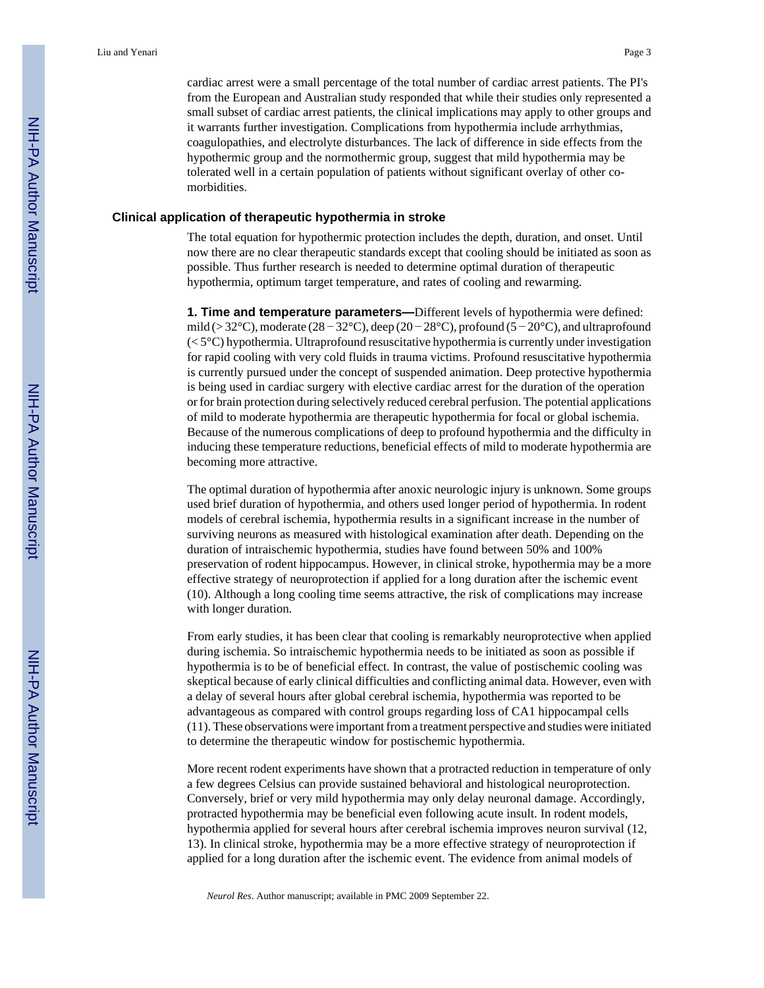cardiac arrest were a small percentage of the total number of cardiac arrest patients. The PI's from the European and Australian study responded that while their studies only represented a small subset of cardiac arrest patients, the clinical implications may apply to other groups and it warrants further investigation. Complications from hypothermia include arrhythmias, coagulopathies, and electrolyte disturbances. The lack of difference in side effects from the hypothermic group and the normothermic group, suggest that mild hypothermia may be tolerated well in a certain population of patients without significant overlay of other comorbidities.

#### **Clinical application of therapeutic hypothermia in stroke**

The total equation for hypothermic protection includes the depth, duration, and onset. Until now there are no clear therapeutic standards except that cooling should be initiated as soon as possible. Thus further research is needed to determine optimal duration of therapeutic hypothermia, optimum target temperature, and rates of cooling and rewarming.

**1. Time and temperature parameters—**Different levels of hypothermia were defined: mild (> 32°C), moderate ( $28 - 32$ °C), deep ( $20 - 28$ °C), profound ( $5 - 20$ °C), and ultraprofound  $( $5^{\circ}$ C) hypothermia. Ultraprofound resuscitative hypothermia is currently under investigation$ for rapid cooling with very cold fluids in trauma victims. Profound resuscitative hypothermia is currently pursued under the concept of suspended animation. Deep protective hypothermia is being used in cardiac surgery with elective cardiac arrest for the duration of the operation or for brain protection during selectively reduced cerebral perfusion. The potential applications of mild to moderate hypothermia are therapeutic hypothermia for focal or global ischemia. Because of the numerous complications of deep to profound hypothermia and the difficulty in inducing these temperature reductions, beneficial effects of mild to moderate hypothermia are becoming more attractive.

The optimal duration of hypothermia after anoxic neurologic injury is unknown. Some groups used brief duration of hypothermia, and others used longer period of hypothermia. In rodent models of cerebral ischemia, hypothermia results in a significant increase in the number of surviving neurons as measured with histological examination after death. Depending on the duration of intraischemic hypothermia, studies have found between 50% and 100% preservation of rodent hippocampus. However, in clinical stroke, hypothermia may be a more effective strategy of neuroprotection if applied for a long duration after the ischemic event (10). Although a long cooling time seems attractive, the risk of complications may increase with longer duration.

From early studies, it has been clear that cooling is remarkably neuroprotective when applied during ischemia. So intraischemic hypothermia needs to be initiated as soon as possible if hypothermia is to be of beneficial effect. In contrast, the value of postischemic cooling was skeptical because of early clinical difficulties and conflicting animal data. However, even with a delay of several hours after global cerebral ischemia, hypothermia was reported to be advantageous as compared with control groups regarding loss of CA1 hippocampal cells (11). These observations were important from a treatment perspective and studies were initiated to determine the therapeutic window for postischemic hypothermia.

More recent rodent experiments have shown that a protracted reduction in temperature of only a few degrees Celsius can provide sustained behavioral and histological neuroprotection. Conversely, brief or very mild hypothermia may only delay neuronal damage. Accordingly, protracted hypothermia may be beneficial even following acute insult. In rodent models, hypothermia applied for several hours after cerebral ischemia improves neuron survival (12, 13). In clinical stroke, hypothermia may be a more effective strategy of neuroprotection if applied for a long duration after the ischemic event. The evidence from animal models of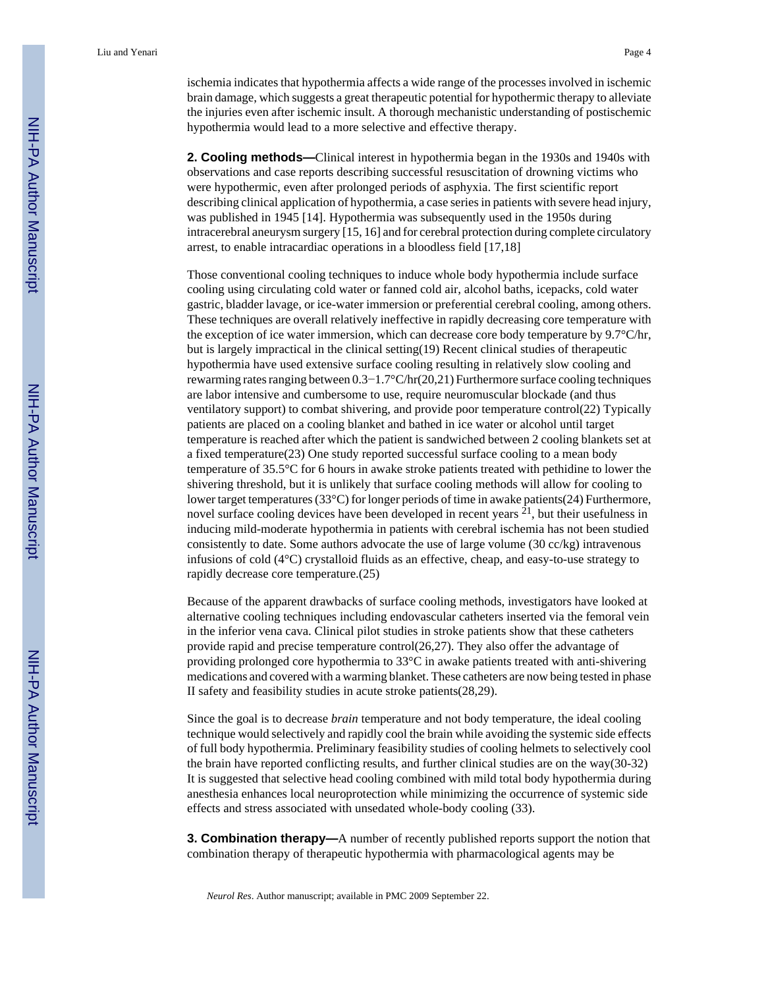ischemia indicates that hypothermia affects a wide range of the processes involved in ischemic brain damage, which suggests a great therapeutic potential for hypothermic therapy to alleviate the injuries even after ischemic insult. A thorough mechanistic understanding of postischemic hypothermia would lead to a more selective and effective therapy.

**2. Cooling methods—**Clinical interest in hypothermia began in the 1930s and 1940s with observations and case reports describing successful resuscitation of drowning victims who were hypothermic, even after prolonged periods of asphyxia. The first scientific report describing clinical application of hypothermia, a case series in patients with severe head injury, was published in 1945 [14]. Hypothermia was subsequently used in the 1950s during intracerebral aneurysm surgery [15, 16] and for cerebral protection during complete circulatory arrest, to enable intracardiac operations in a bloodless field [17,18]

Those conventional cooling techniques to induce whole body hypothermia include surface cooling using circulating cold water or fanned cold air, alcohol baths, icepacks, cold water gastric, bladder lavage, or ice-water immersion or preferential cerebral cooling, among others. These techniques are overall relatively ineffective in rapidly decreasing core temperature with the exception of ice water immersion, which can decrease core body temperature by 9.7°C/hr, but is largely impractical in the clinical setting(19) Recent clinical studies of therapeutic hypothermia have used extensive surface cooling resulting in relatively slow cooling and rewarming rates ranging between 0.3−1.7°C/hr(20,21) Furthermore surface cooling techniques are labor intensive and cumbersome to use, require neuromuscular blockade (and thus ventilatory support) to combat shivering, and provide poor temperature control(22) Typically patients are placed on a cooling blanket and bathed in ice water or alcohol until target temperature is reached after which the patient is sandwiched between 2 cooling blankets set at a fixed temperature(23) One study reported successful surface cooling to a mean body temperature of 35.5°C for 6 hours in awake stroke patients treated with pethidine to lower the shivering threshold, but it is unlikely that surface cooling methods will allow for cooling to lower target temperatures (33°C) for longer periods of time in awake patients(24) Furthermore, novel surface cooling devices have been developed in recent years  $2<sup>1</sup>$ , but their usefulness in inducing mild-moderate hypothermia in patients with cerebral ischemia has not been studied consistently to date. Some authors advocate the use of large volume (30 cc/kg) intravenous infusions of cold (4°C) crystalloid fluids as an effective, cheap, and easy-to-use strategy to rapidly decrease core temperature.(25)

Because of the apparent drawbacks of surface cooling methods, investigators have looked at alternative cooling techniques including endovascular catheters inserted via the femoral vein in the inferior vena cava. Clinical pilot studies in stroke patients show that these catheters provide rapid and precise temperature control(26,27). They also offer the advantage of providing prolonged core hypothermia to 33°C in awake patients treated with anti-shivering medications and covered with a warming blanket. These catheters are now being tested in phase II safety and feasibility studies in acute stroke patients(28,29).

Since the goal is to decrease *brain* temperature and not body temperature, the ideal cooling technique would selectively and rapidly cool the brain while avoiding the systemic side effects of full body hypothermia. Preliminary feasibility studies of cooling helmets to selectively cool the brain have reported conflicting results, and further clinical studies are on the way(30-32) It is suggested that selective head cooling combined with mild total body hypothermia during anesthesia enhances local neuroprotection while minimizing the occurrence of systemic side effects and stress associated with unsedated whole-body cooling (33).

**3. Combination therapy—**A number of recently published reports support the notion that combination therapy of therapeutic hypothermia with pharmacological agents may be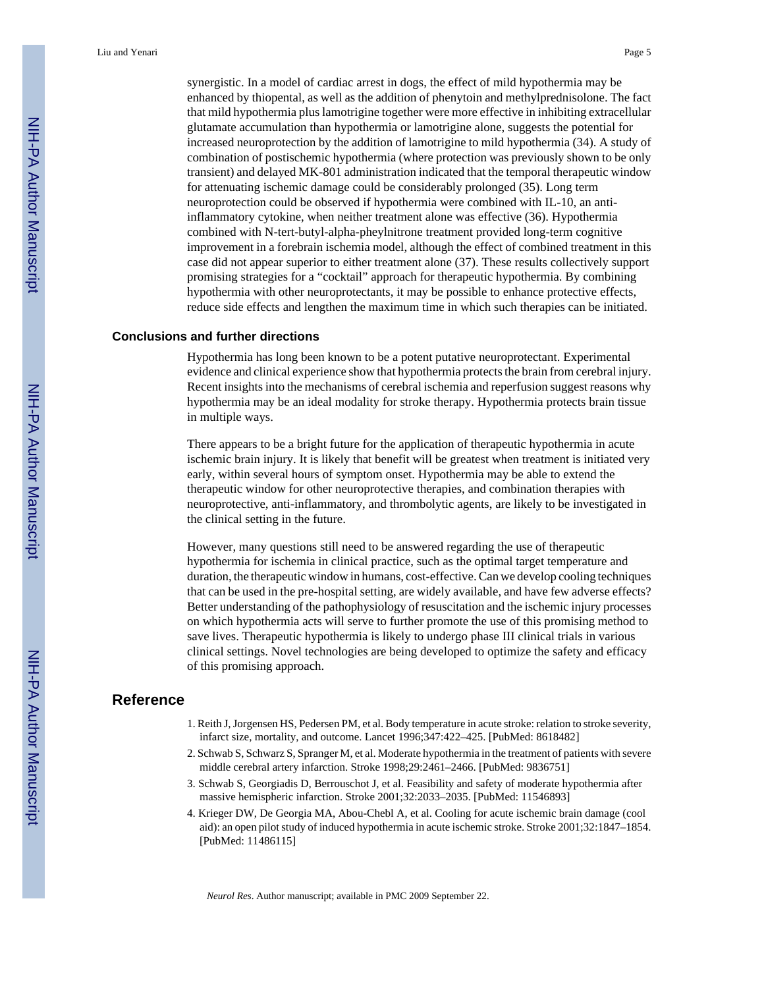synergistic. In a model of cardiac arrest in dogs, the effect of mild hypothermia may be enhanced by thiopental, as well as the addition of phenytoin and methylprednisolone. The fact that mild hypothermia plus lamotrigine together were more effective in inhibiting extracellular glutamate accumulation than hypothermia or lamotrigine alone, suggests the potential for increased neuroprotection by the addition of lamotrigine to mild hypothermia (34). A study of combination of postischemic hypothermia (where protection was previously shown to be only transient) and delayed MK-801 administration indicated that the temporal therapeutic window for attenuating ischemic damage could be considerably prolonged (35). Long term neuroprotection could be observed if hypothermia were combined with IL-10, an antiinflammatory cytokine, when neither treatment alone was effective (36). Hypothermia combined with N-tert-butyl-alpha-pheylnitrone treatment provided long-term cognitive improvement in a forebrain ischemia model, although the effect of combined treatment in this case did not appear superior to either treatment alone (37). These results collectively support promising strategies for a "cocktail" approach for therapeutic hypothermia. By combining hypothermia with other neuroprotectants, it may be possible to enhance protective effects, reduce side effects and lengthen the maximum time in which such therapies can be initiated.

#### **Conclusions and further directions**

Hypothermia has long been known to be a potent putative neuroprotectant. Experimental evidence and clinical experience show that hypothermia protects the brain from cerebral injury. Recent insights into the mechanisms of cerebral ischemia and reperfusion suggest reasons why hypothermia may be an ideal modality for stroke therapy. Hypothermia protects brain tissue in multiple ways.

There appears to be a bright future for the application of therapeutic hypothermia in acute ischemic brain injury. It is likely that benefit will be greatest when treatment is initiated very early, within several hours of symptom onset. Hypothermia may be able to extend the therapeutic window for other neuroprotective therapies, and combination therapies with neuroprotective, anti-inflammatory, and thrombolytic agents, are likely to be investigated in the clinical setting in the future.

However, many questions still need to be answered regarding the use of therapeutic hypothermia for ischemia in clinical practice, such as the optimal target temperature and duration, the therapeutic window in humans, cost-effective. Can we develop cooling techniques that can be used in the pre-hospital setting, are widely available, and have few adverse effects? Better understanding of the pathophysiology of resuscitation and the ischemic injury processes on which hypothermia acts will serve to further promote the use of this promising method to save lives. Therapeutic hypothermia is likely to undergo phase III clinical trials in various clinical settings. Novel technologies are being developed to optimize the safety and efficacy of this promising approach.

### **Reference**

- 1. Reith J, Jorgensen HS, Pedersen PM, et al. Body temperature in acute stroke: relation to stroke severity, infarct size, mortality, and outcome. Lancet 1996;347:422–425. [PubMed: 8618482]
- 2. Schwab S, Schwarz S, Spranger M, et al. Moderate hypothermia in the treatment of patients with severe middle cerebral artery infarction. Stroke 1998;29:2461–2466. [PubMed: 9836751]
- 3. Schwab S, Georgiadis D, Berrouschot J, et al. Feasibility and safety of moderate hypothermia after massive hemispheric infarction. Stroke 2001;32:2033–2035. [PubMed: 11546893]
- 4. Krieger DW, De Georgia MA, Abou-Chebl A, et al. Cooling for acute ischemic brain damage (cool aid): an open pilot study of induced hypothermia in acute ischemic stroke. Stroke 2001;32:1847–1854. [PubMed: 11486115]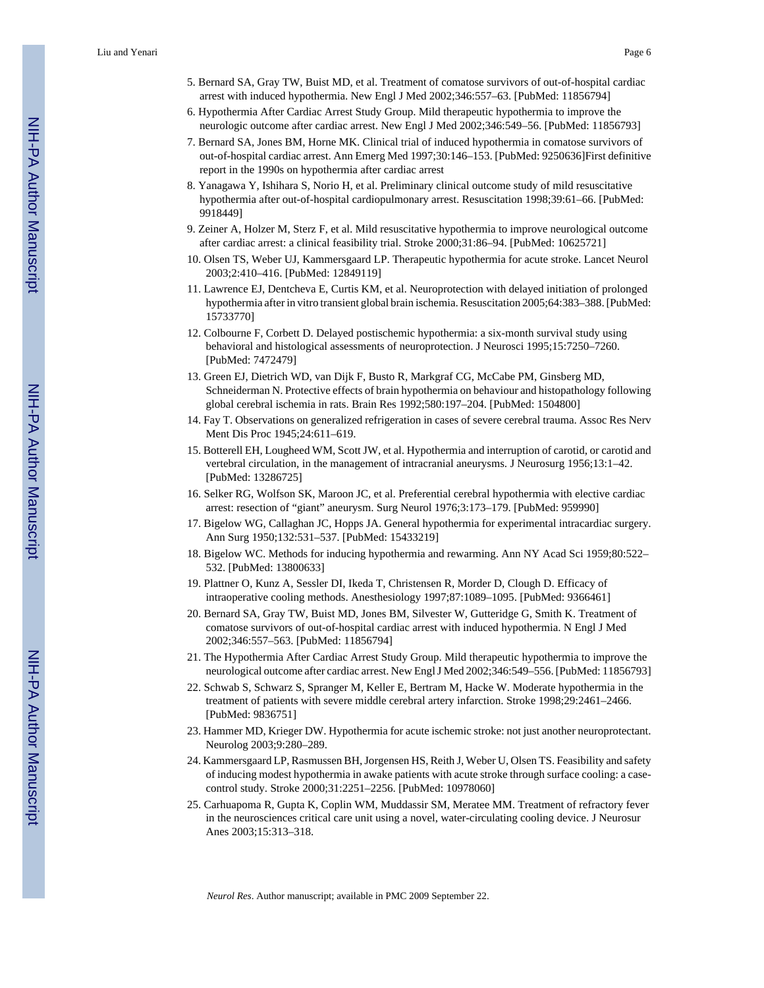- 5. Bernard SA, Gray TW, Buist MD, et al. Treatment of comatose survivors of out-of-hospital cardiac arrest with induced hypothermia. New Engl J Med 2002;346:557–63. [PubMed: 11856794]
- 6. Hypothermia After Cardiac Arrest Study Group. Mild therapeutic hypothermia to improve the neurologic outcome after cardiac arrest. New Engl J Med 2002;346:549–56. [PubMed: 11856793]
- 7. Bernard SA, Jones BM, Horne MK. Clinical trial of induced hypothermia in comatose survivors of out-of-hospital cardiac arrest. Ann Emerg Med 1997;30:146–153. [PubMed: 9250636]First definitive report in the 1990s on hypothermia after cardiac arrest
- 8. Yanagawa Y, Ishihara S, Norio H, et al. Preliminary clinical outcome study of mild resuscitative hypothermia after out-of-hospital cardiopulmonary arrest. Resuscitation 1998;39:61–66. [PubMed: 9918449]
- 9. Zeiner A, Holzer M, Sterz F, et al. Mild resuscitative hypothermia to improve neurological outcome after cardiac arrest: a clinical feasibility trial. Stroke 2000;31:86–94. [PubMed: 10625721]
- 10. Olsen TS, Weber UJ, Kammersgaard LP. Therapeutic hypothermia for acute stroke. Lancet Neurol 2003;2:410–416. [PubMed: 12849119]
- 11. Lawrence EJ, Dentcheva E, Curtis KM, et al. Neuroprotection with delayed initiation of prolonged hypothermia after in vitro transient global brain ischemia. Resuscitation 2005;64:383–388. [PubMed: 15733770]
- 12. Colbourne F, Corbett D. Delayed postischemic hypothermia: a six-month survival study using behavioral and histological assessments of neuroprotection. J Neurosci 1995;15:7250–7260. [PubMed: 7472479]
- 13. Green EJ, Dietrich WD, van Dijk F, Busto R, Markgraf CG, McCabe PM, Ginsberg MD, Schneiderman N. Protective effects of brain hypothermia on behaviour and histopathology following global cerebral ischemia in rats. Brain Res 1992;580:197–204. [PubMed: 1504800]
- 14. Fay T. Observations on generalized refrigeration in cases of severe cerebral trauma. Assoc Res Nerv Ment Dis Proc 1945;24:611–619.
- 15. Botterell EH, Lougheed WM, Scott JW, et al. Hypothermia and interruption of carotid, or carotid and vertebral circulation, in the management of intracranial aneurysms. J Neurosurg 1956;13:1–42. [PubMed: 13286725]
- 16. Selker RG, Wolfson SK, Maroon JC, et al. Preferential cerebral hypothermia with elective cardiac arrest: resection of "giant" aneurysm. Surg Neurol 1976;3:173–179. [PubMed: 959990]
- 17. Bigelow WG, Callaghan JC, Hopps JA. General hypothermia for experimental intracardiac surgery. Ann Surg 1950;132:531–537. [PubMed: 15433219]
- 18. Bigelow WC. Methods for inducing hypothermia and rewarming. Ann NY Acad Sci 1959;80:522– 532. [PubMed: 13800633]
- 19. Plattner O, Kunz A, Sessler DI, Ikeda T, Christensen R, Morder D, Clough D. Efficacy of intraoperative cooling methods. Anesthesiology 1997;87:1089–1095. [PubMed: 9366461]
- 20. Bernard SA, Gray TW, Buist MD, Jones BM, Silvester W, Gutteridge G, Smith K. Treatment of comatose survivors of out-of-hospital cardiac arrest with induced hypothermia. N Engl J Med 2002;346:557–563. [PubMed: 11856794]
- 21. The Hypothermia After Cardiac Arrest Study Group. Mild therapeutic hypothermia to improve the neurological outcome after cardiac arrest. New Engl J Med 2002;346:549–556. [PubMed: 11856793]
- 22. Schwab S, Schwarz S, Spranger M, Keller E, Bertram M, Hacke W. Moderate hypothermia in the treatment of patients with severe middle cerebral artery infarction. Stroke 1998;29:2461–2466. [PubMed: 9836751]
- 23. Hammer MD, Krieger DW. Hypothermia for acute ischemic stroke: not just another neuroprotectant. Neurolog 2003;9:280–289.
- 24. Kammersgaard LP, Rasmussen BH, Jorgensen HS, Reith J, Weber U, Olsen TS. Feasibility and safety of inducing modest hypothermia in awake patients with acute stroke through surface cooling: a casecontrol study. Stroke 2000;31:2251–2256. [PubMed: 10978060]
- 25. Carhuapoma R, Gupta K, Coplin WM, Muddassir SM, Meratee MM. Treatment of refractory fever in the neurosciences critical care unit using a novel, water-circulating cooling device. J Neurosur Anes 2003;15:313–318.